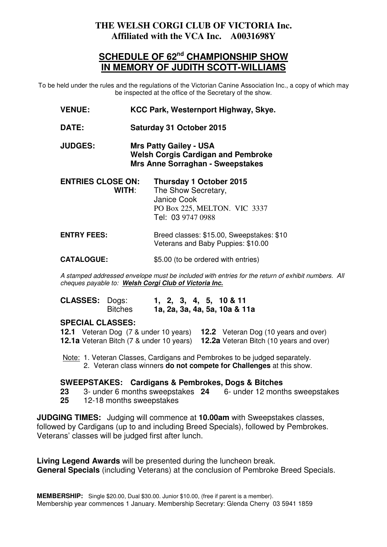## **THE WELSH CORGI CLUB OF VICTORIA Inc. Affiliated with the VCA Inc. A0031698Y**

# **SCHEDULE OF 62nd CHAMPIONSHIP SHOW IN MEMORY OF JUDITH SCOTT-WILLIAMS**

To be held under the rules and the regulations of the Victorian Canine Association Inc., a copy of which may be inspected at the office of the Secretary of the show.

- **VENUE: KCC Park, Westernport Highway, Skye.**
- **DATE: Saturday 31 October 2015**

**JUDGES: Mrs Patty Gailey - USA Welsh Corgis Cardigan and Pembroke Mrs Anne Sorraghan - Sweepstakes**

| Thursday 1 October 2015      |
|------------------------------|
| The Show Secretary,          |
|                              |
| PO Box 225, MELTON. VIC 3337 |
| Tel: 03 9747 0988            |
|                              |

#### **ENTRY FEES:** Breed classes: \$15.00, Sweepstakes: \$10 Veterans and Baby Puppies: \$10.00

**CATALOGUE:** \$5.00 (to be ordered with entries)

A stamped addressed envelope must be included with entries for the return of exhibit numbers. All cheques payable to: **Welsh Corgi Club of Victoria Inc.**

| <b>CLASSES: Dogs:</b> |                |  |  | $1, 2, 3, 4, 5, 10 \& 11$     |
|-----------------------|----------------|--|--|-------------------------------|
|                       | <b>Bitches</b> |  |  | 1a, 2a, 3a, 4a, 5a, 10a & 11a |

### **SPECIAL CLASSES:**

|  | <b>12.1</b> Veteran Dog (7 & under 10 years) <b>12.2</b> Veteran Dog (10 years and over)       |
|--|------------------------------------------------------------------------------------------------|
|  | <b>12.1a</b> Veteran Bitch (7 & under 10 years) <b>12.2a</b> Veteran Bitch (10 years and over) |

 Note: 1. Veteran Classes, Cardigans and Pembrokes to be judged separately. 2. Veteran class winners **do not compete for Challenges** at this show.

#### **SWEEPSTAKES: Cardigans & Pembrokes, Dogs & Bitches**

- **23** 3- under 6 months sweepstakes **24** 6- under 12 months sweepstakes
- **25** 12-18 months sweepstakes

**JUDGING TIMES:** Judging will commence at **10.00am** with Sweepstakes classes, followed by Cardigans (up to and including Breed Specials), followed by Pembrokes. Veterans' classes will be judged first after lunch.

**Living Legend Awards** will be presented during the luncheon break. **General Specials** (including Veterans) at the conclusion of Pembroke Breed Specials.